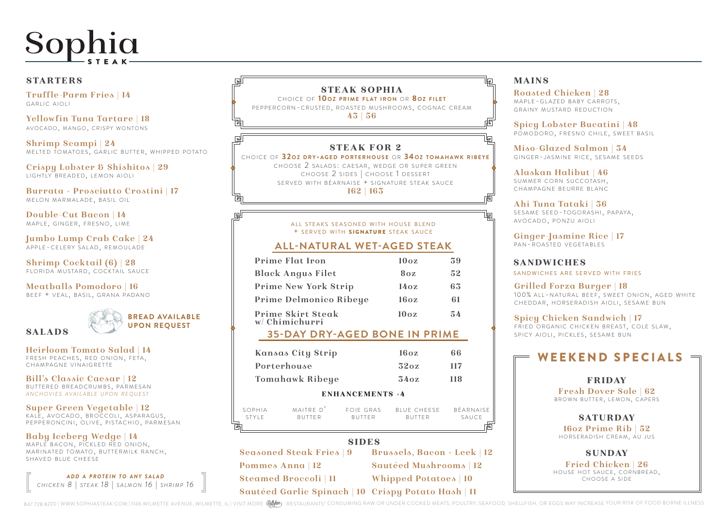# Sophia

### **STARTERS**

**Truffle-Parm Fries | 14** GARLIC AIOLI

**Yellowfin Tuna Tartare | 18** AVOCADO, MANGO, CRISPY WONTONS

**Shrimp Scampi | 24** MELTED TOMATOES, GARLIC BUTTER, WHIPPED POTATO

**Crispy Lobster & Shishitos | 29** LIGHTLY BREADED, LEMON AIOLI

**Burrata + Prosciutto Crostini | 17** MELON MARMALADE, BASIL OIL

**Double-Cut Bacon | 14** MAPLE, GINGER, FRESNO, LIME

**Jumbo Lump Crab Cake | 24** APPLE-CELERY SALAD, REMOULADE

**Shrimp Cocktail (6) | 28** FLORIDA MUSTARD, COCKTAIL SAUCE

**Meatballs Pomodoro | 16** BEEF + VEAL, BASIL, GRANA PADANO



**BREAD AVAILABLE UPON REQUEST**

曱

SALADS

**Heirloom Tomato Salad | 14** FRESH PEACHES, RED ONION, FETA, CHAMPAGNE VINAIGRETTE

**Bill's Classic Caesar | 12** BUTTERED BREADCRUMBS, PARMESAN *a n c h o v i e s a v a i l a b l e u p o n r e q u e s t*

**Super Green Vegetable | 12**<br>KALE, AVOCADO, BROCCOLI, ASPARAGUS, PEPPERONCINI, OLIVE, PISTACHIO, PARMESAN

**Baby Iceberg Wedge | 14** MAPLE BACON, PICKLED RED ONION, M A R IN A T E D A C O N A TO A C A L E R AN A R AN CH, SHAVE D BLUE CHEESE

*a d d a p r o t e i n t o a n y s a l a d c h i c k e n 8* | *s t e a k 18* | *s a l m o n 16* | *s h r i m p 16* 

### STEAK SOPHIA

CHOICE OF **100Z PRIME FLAT IRON OR 80Z FILET** 

PEPPERCORN-CRUSTED, ROASTED MUSHROOMS, COGNAC CREAM **43 | 56** 

### STEAK FOR 2

**CHOICE OF 320Z DRY-AGED PORTERHOUSE OR 340Z TOMAHAWK RIBEYE** 

CHOOSE 2 SALADS: CAESAR, WEDGE OR SUPER GREEN CHOOSE 2 SIDES | CHOOSE 1 DESSERT SERVED WITH BÉARNAISE + SIGNATURE STEAK SAUCE

**162 | 163**

ALL STEAKS SEASONED WITH HOUSE BLEND + SERVED WITH SIGNATURE STEAK SAUCE

### **ALL-NATURAL WET-AGED STEAK**

| Prime Flat Iron                     | 10 <sub>oz</sub> | 39 |
|-------------------------------------|------------------|----|
| Black Angus Filet                   | 80z              | 52 |
| Prime New York Strip                | 140z             | 63 |
| Prime Delmonico Ribeye              | 160z             | 61 |
| Prime Skirt Steak<br>w/ Chimichurri | 10 <sub>oz</sub> | 54 |
|                                     |                  |    |

### **35-DAY DRY-AGED BONE IN PRIME**

| Kansas City Strip      | 160z | 66  |
|------------------------|------|-----|
| Porterhouse            | 32oz | 117 |
| <b>Tomahawk Ribeye</b> | 340z | 118 |

### ENHANCEMENTS +4

B I UF CHEESE **BUTTER** 

**BÉARNAISE SAUCE** 

**SOPHIA** STYLE MAITRE D' **BUTTER** FOIF GRAS **BUTTER** 

### SIDES

**Seasoned Steak Fries | 9 Pommes Anna | 12 Steamed Broccoli | 11 Sautéed Garlic Spinach | 10 Crispy Potato Hash | 11 Brussels, Bacon + Leek | 12 Sautéed Mushrooms | 12 Whipped Potatoes | 10**

### MAINS

匉

**Roasted Chicken | 28** MAPLE-GLAZED BABY CARROTS, GRAINY MUSTARD REDUCTION

**Spicy Lobster Bucatini | 48** POMODORO, FRESNO CHILE, SWEET BASIL

**Miso-Glazed Salmon | 34** GINGER-JASMINE RICE, SESAME SEEDS

**Alaskan Halibut | 46** SUMMER CORN SUCCOTASH, CHAMPAGNE BEURRE BLANC

**Ahi Tuna Tataki | 36** SESAME SEED-TOGORASHI, PAPAYA, AVOCADO, PONZU AIOLI

**Ginger-Jasmine Rice | 17** PAN-ROASTED VEGETABLES

SANDWICHES SANDWICHES ARE SERVED WITH FRIES

**Grilled Forza Burger | 18**  100% ALL-NATURAL BEEF, SWEET ONION, AGED WHITE CHEDDAR, HORSERADISH AIOLI, SESAME BUN

**Spicy Chicken Sandwich | 17**

FRIED ORGANIC CHICKEN BREAST, COLE SLAW, SPICY AIOLI, PICKLES, SESAME BUN

### WEEKEND SPECIALS

### **FRIDAY**

**Fresh Dover Sole | 62** BROWN BUTTER, LEMON, CAPERS

**SATURDAY** 

**16oz Prime Rib | 52** HORSERADISH CREAM, AU JUS

**SUNDAY** 

**Fried Chicken | 26** HOUSE HOT SAUCE, CORNBREAD,<br>CHOOSE A SIDE

847 728 8220 | WWW.SOPHIASTEAK.COM | 1146 WILMETTE AVENUE, WILMETTE, IL | VISIT MORE RUMARTS! CONSUMING RAW OR UNDER COOKED MEATS, POULTRY, SEAFOOD, SHELLFISH, OR EGGS MAY INCREASE YOUR RISK OF FOOD BORNE ILLNESS.